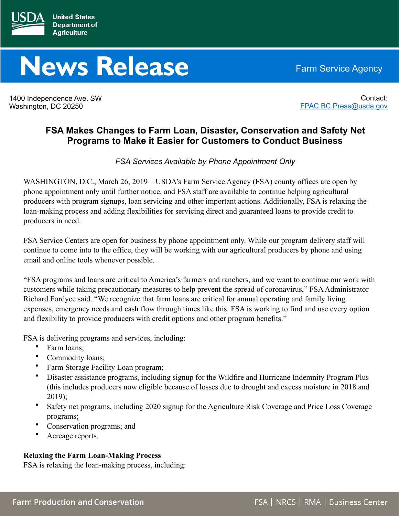

# **News Release**

1400 Independence Ave. SW Washington, DC 20250

Farm Service Agency

Contact: [FPAC.BC.Press@usda.gov](mailto:FPAC.BC.Press@usda.gov)

# **FSA Makes Changes to Farm Loan, Disaster, Conservation and Safety Net Programs to Make it Easier for Customers to Conduct Business**

*FSA Services Available by Phone Appointment Only* 

WASHINGTON, D.C., March 26, 2019 – USDA's Farm Service Agency (FSA) county offices are open by phone appointment only until further notice, and FSA staff are available to continue helping agricultural producers with program signups, loan servicing and other important actions. Additionally, FSA is relaxing the loan-making process and adding flexibilities for servicing direct and guaranteed loans to provide credit to producers in need.

FSA Service Centers are open for business by phone appointment only. While our program delivery staff will continue to come into to the office, they will be working with our agricultural producers by phone and using email and online tools whenever possible.

"FSA programs and loans are critical to America's farmers and ranchers, and we want to continue our work with customers while taking precautionary measures to help prevent the spread of coronavirus," FSA Administrator Richard Fordyce said. "We recognize that farm loans are critical for annual operating and family living expenses, emergency needs and cash flow through times like this. FSA is working to find and use every option and flexibility to provide producers with credit options and other program benefits."

FSA is delivering programs and services, including:

- Farm loans;
- Commodity loans;
- Farm Storage Facility Loan program;
- Disaster assistance programs, including signup for the Wildfire and Hurricane Indemnity Program Plus (this includes producers now eligible because of losses due to drought and excess moisture in 2018 and 2019);
- Safety net programs, including 2020 signup for the Agriculture Risk Coverage and Price Loss Coverage programs;
- Conservation programs; and
- Acreage reports.

## **Relaxing the Farm Loan-Making Process**

FSA is relaxing the loan-making process, including: